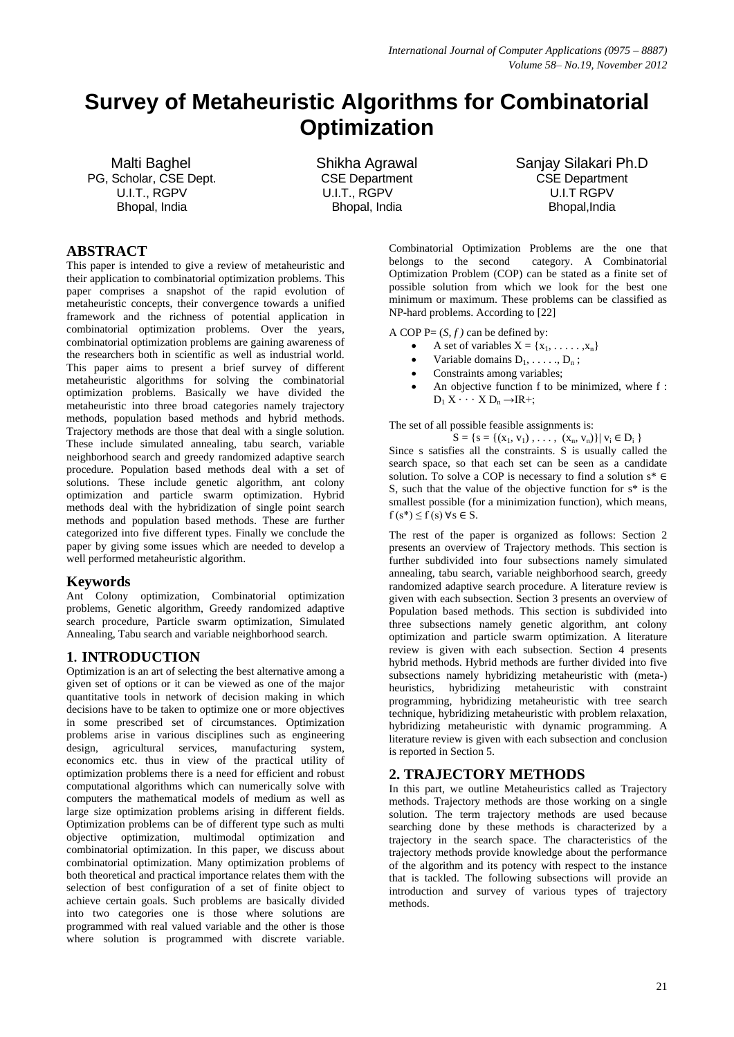# **Survey of Metaheuristic Algorithms for Combinatorial Optimization**

Malti Baghel PG, Scholar, CSE Dept. U.I.T., RGPV Bhopal, India

Shikha Agrawal CSE Department U.I.T., RGPV Bhopal, India

Sanjay Silakari Ph.D CSE Department U.I.T RGPV Bhopal,India

# **ABSTRACT**

This paper is intended to give a review of metaheuristic and their application to combinatorial optimization problems. This paper comprises a snapshot of the rapid evolution of metaheuristic concepts, their convergence towards a unified framework and the richness of potential application in combinatorial optimization problems. Over the years, combinatorial optimization problems are gaining awareness of the researchers both in scientific as well as industrial world. This paper aims to present a brief survey of different metaheuristic algorithms for solving the combinatorial optimization problems. Basically we have divided the metaheuristic into three broad categories namely trajectory methods, population based methods and hybrid methods. Trajectory methods are those that deal with a single solution. These include simulated annealing, tabu search, variable neighborhood search and greedy randomized adaptive search procedure. Population based methods deal with a set of solutions. These include genetic algorithm, ant colony optimization and particle swarm optimization. Hybrid methods deal with the hybridization of single point search methods and population based methods. These are further categorized into five different types. Finally we conclude the paper by giving some issues which are needed to develop a well performed metaheuristic algorithm.

#### **Keywords**

Ant Colony optimization, Combinatorial optimization problems, Genetic algorithm, Greedy randomized adaptive search procedure, Particle swarm optimization, Simulated Annealing, Tabu search and variable neighborhood search.

# **1. INTRODUCTION**

Optimization is an art of selecting the best alternative among a given set of options or it can be viewed as one of the major quantitative tools in network of decision making in which decisions have to be taken to optimize one or more objectives in some prescribed set of circumstances. Optimization problems arise in various disciplines such as engineering design, agricultural services, manufacturing system, economics etc. thus in view of the practical utility of optimization problems there is a need for efficient and robust computational algorithms which can numerically solve with computers the mathematical models of medium as well as large size optimization problems arising in different fields. Optimization problems can be of different type such as multi objective optimization, multimodal optimization and combinatorial optimization. In this paper, we discuss about combinatorial optimization. Many optimization problems of both theoretical and practical importance relates them with the selection of best configuration of a set of finite object to achieve certain goals. Such problems are basically divided into two categories one is those where solutions are programmed with real valued variable and the other is those where solution is programmed with discrete variable.

Combinatorial Optimization Problems are the one that belongs to the second category. A Combinatorial Optimization Problem (COP) can be stated as a finite set of possible solution from which we look for the best one minimum or maximum. These problems can be classified as NP-hard problems. According to [22]

A COP  $P = (S, f)$  can be defined by:

- A set of variables  $X = \{x_1, \ldots, x_n\}$
- Variable domains  $D_1, \ldots, D_n$ ;
- Constraints among variables;
- An objective function f to be minimized, where f :  $D_1 X \cdots X D_n \rightarrow IR^+;$

The set of all possible feasible assignments is:

 $S = \{s = \{(x_1, v_1), \ldots, (x_n, v_n)\} | v_i \in D_i \}$ 

Since s satisfies all the constraints. S is usually called the search space, so that each set can be seen as a candidate solution. To solve a COP is necessary to find a solution s\* ∈ S, such that the value of the objective function for s\* is the smallest possible (for a minimization function), which means,  $f(s^*) \leq f(s)$   $\forall s \in S$ .

The rest of the paper is organized as follows: Section 2 presents an overview of Trajectory methods. This section is further subdivided into four subsections namely simulated annealing, tabu search, variable neighborhood search, greedy randomized adaptive search procedure. A literature review is given with each subsection. Section 3 presents an overview of Population based methods. This section is subdivided into three subsections namely genetic algorithm, ant colony optimization and particle swarm optimization. A literature review is given with each subsection. Section 4 presents hybrid methods. Hybrid methods are further divided into five subsections namely hybridizing metaheuristic with (meta-) heuristics, hybridizing metaheuristic with constraint programming, hybridizing metaheuristic with tree search technique, hybridizing metaheuristic with problem relaxation, hybridizing metaheuristic with dynamic programming. A literature review is given with each subsection and conclusion is reported in Section 5.

#### **2. TRAJECTORY METHODS**

In this part, we outline Metaheuristics called as Trajectory methods. Trajectory methods are those working on a single solution. The term trajectory methods are used because searching done by these methods is characterized by a trajectory in the search space. The characteristics of the trajectory methods provide knowledge about the performance of the algorithm and its potency with respect to the instance that is tackled. The following subsections will provide an introduction and survey of various types of trajectory methods.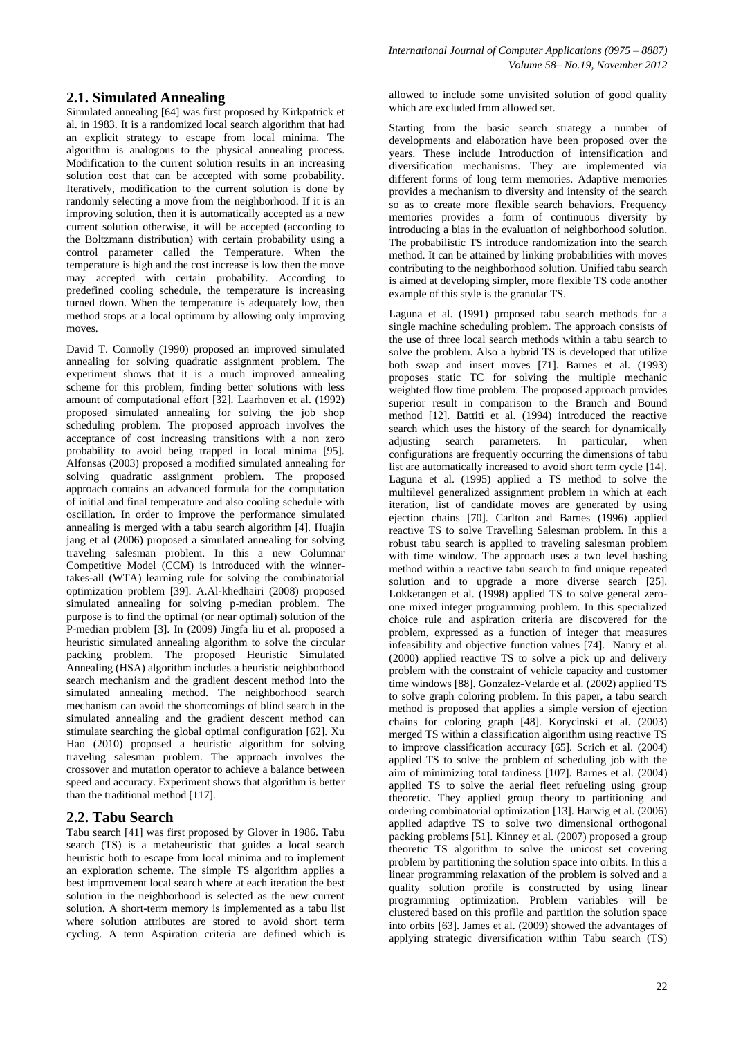### **2.1. Simulated Annealing**

Simulated annealing [64] was first proposed by Kirkpatrick et al. in 1983. It is a randomized local search algorithm that had an explicit strategy to escape from local minima. The algorithm is analogous to the physical annealing process. Modification to the current solution results in an increasing solution cost that can be accepted with some probability. Iteratively, modification to the current solution is done by randomly selecting a move from the neighborhood. If it is an improving solution, then it is automatically accepted as a new current solution otherwise, it will be accepted (according to the Boltzmann distribution) with certain probability using a control parameter called the Temperature. When the temperature is high and the cost increase is low then the move may accepted with certain probability. According to predefined cooling schedule, the temperature is increasing turned down. When the temperature is adequately low, then method stops at a local optimum by allowing only improving moves.

David T. Connolly (1990) proposed an improved simulated annealing for solving quadratic assignment problem. The experiment shows that it is a much improved annealing scheme for this problem, finding better solutions with less amount of computational effort [32]. Laarhoven et al. (1992) proposed simulated annealing for solving the job shop scheduling problem. The proposed approach involves the acceptance of cost increasing transitions with a non zero probability to avoid being trapped in local minima [95]. Alfonsas (2003) proposed a modified simulated annealing for solving quadratic assignment problem. The proposed approach contains an advanced formula for the computation of initial and final temperature and also cooling schedule with oscillation. In order to improve the performance simulated annealing is merged with a tabu search algorithm [4]. Huajin jang et al (2006) proposed a simulated annealing for solving traveling salesman problem. In this a new Columnar Competitive Model (CCM) is introduced with the winnertakes-all (WTA) learning rule for solving the combinatorial optimization problem [39]. A.Al-khedhairi (2008) proposed simulated annealing for solving p-median problem. The purpose is to find the optimal (or near optimal) solution of the P-median problem [3]. In (2009) Jingfa liu et al. proposed a heuristic simulated annealing algorithm to solve the circular packing problem. The proposed Heuristic Simulated Annealing (HSA) algorithm includes a heuristic neighborhood search mechanism and the gradient descent method into the simulated annealing method. The neighborhood search mechanism can avoid the shortcomings of blind search in the simulated annealing and the gradient descent method can stimulate searching the global optimal configuration [62]. Xu Hao (2010) proposed a heuristic algorithm for solving traveling salesman problem. The approach involves the crossover and mutation operator to achieve a balance between speed and accuracy. Experiment shows that algorithm is better than the traditional method [117].

#### **2.2. Tabu Search**

Tabu search [41] was first proposed by Glover in 1986. Tabu search (TS) is a metaheuristic that guides a local search heuristic both to escape from local minima and to implement an exploration scheme. The simple TS algorithm applies a best improvement local search where at each iteration the best solution in the neighborhood is selected as the new current solution. A short-term memory is implemented as a tabu list where solution attributes are stored to avoid short term cycling. A term Aspiration criteria are defined which is

allowed to include some unvisited solution of good quality which are excluded from allowed set.

Starting from the basic search strategy a number of developments and elaboration have been proposed over the years. These include Introduction of intensification and diversification mechanisms. They are implemented via different forms of long term memories. Adaptive memories provides a mechanism to diversity and intensity of the search so as to create more flexible search behaviors. Frequency memories provides a form of continuous diversity by introducing a bias in the evaluation of neighborhood solution. The probabilistic TS introduce randomization into the search method. It can be attained by linking probabilities with moves contributing to the neighborhood solution. Unified tabu search is aimed at developing simpler, more flexible TS code another example of this style is the granular TS.

Laguna et al. (1991) proposed tabu search methods for a single machine scheduling problem. The approach consists of the use of three local search methods within a tabu search to solve the problem. Also a hybrid TS is developed that utilize both swap and insert moves [71]. Barnes et al. (1993) proposes static TC for solving the multiple mechanic weighted flow time problem. The proposed approach provides superior result in comparison to the Branch and Bound method [12]. Battiti et al. (1994) introduced the reactive search which uses the history of the search for dynamically adjusting search parameters. In particular, when configurations are frequently occurring the dimensions of tabu list are automatically increased to avoid short term cycle [14]. Laguna et al. (1995) applied a TS method to solve the multilevel generalized assignment problem in which at each iteration, list of candidate moves are generated by using ejection chains [70]. Carlton and Barnes (1996) applied reactive TS to solve Travelling Salesman problem. In this a robust tabu search is applied to traveling salesman problem with time window. The approach uses a two level hashing method within a reactive tabu search to find unique repeated solution and to upgrade a more diverse search [25]. Lokketangen et al. (1998) applied TS to solve general zeroone mixed integer programming problem. In this specialized choice rule and aspiration criteria are discovered for the problem, expressed as a function of integer that measures infeasibility and objective function values [74]. Nanry et al. (2000) applied reactive TS to solve a pick up and delivery problem with the constraint of vehicle capacity and customer time windows [88]. Gonzalez-Velarde et al. (2002) applied TS to solve graph coloring problem. In this paper, a tabu search method is proposed that applies a simple version of ejection chains for coloring graph [48]. Korycinski et al. (2003) merged TS within a classification algorithm using reactive TS to improve classification accuracy [65]. Scrich et al. (2004) applied TS to solve the problem of scheduling job with the aim of minimizing total tardiness [107]. Barnes et al. (2004) applied TS to solve the aerial fleet refueling using group theoretic. They applied group theory to partitioning and ordering combinatorial optimization [13]. Harwig et al. (2006) applied adaptive TS to solve two dimensional orthogonal packing problems [51]. Kinney et al. (2007) proposed a group theoretic TS algorithm to solve the unicost set covering problem by partitioning the solution space into orbits. In this a linear programming relaxation of the problem is solved and a quality solution profile is constructed by using linear programming optimization. Problem variables will be clustered based on this profile and partition the solution space into orbits [63]. James et al. (2009) showed the advantages of applying strategic diversification within Tabu search (TS)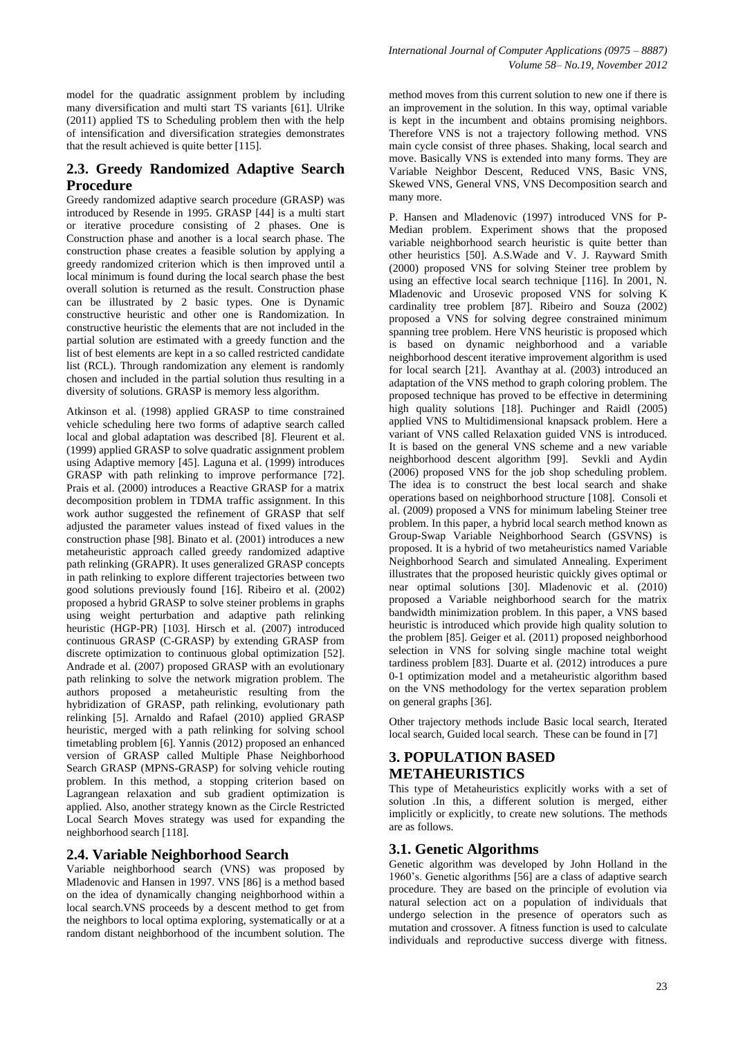model for the quadratic assignment problem by including many diversification and multi start TS variants [61]. Ulrike (2011) applied TS to Scheduling problem then with the help of intensification and diversification strategies demonstrates that the result achieved is quite better [115].

# **2.3. Greedy Randomized Adaptive Search Procedure**

Greedy randomized adaptive search procedure (GRASP) was introduced by Resende in 1995. GRASP [44] is a multi start or iterative procedure consisting of 2 phases. One is Construction phase and another is a local search phase. The construction phase creates a feasible solution by applying a greedy randomized criterion which is then improved until a local minimum is found during the local search phase the best overall solution is returned as the result. Construction phase can be illustrated by 2 basic types. One is Dynamic constructive heuristic and other one is Randomization. In constructive heuristic the elements that are not included in the partial solution are estimated with a greedy function and the list of best elements are kept in a so called restricted candidate list (RCL). Through randomization any element is randomly chosen and included in the partial solution thus resulting in a diversity of solutions. GRASP is memory less algorithm.

Atkinson et al. (1998) applied GRASP to time constrained vehicle scheduling here two forms of adaptive search called local and global adaptation was described [8]. Fleurent et al. (1999) applied GRASP to solve quadratic assignment problem using Adaptive memory [45]. Laguna et al. (1999) introduces GRASP with path relinking to improve performance [72]. Prais et al. (2000) introduces a Reactive GRASP for a matrix decomposition problem in TDMA traffic assignment. In this work author suggested the refinement of GRASP that self adjusted the parameter values instead of fixed values in the construction phase [98]. Binato et al. (2001) introduces a new metaheuristic approach called greedy randomized adaptive path relinking (GRAPR). It uses generalized GRASP concepts in path relinking to explore different trajectories between two good solutions previously found [16]. Ribeiro et al. (2002) proposed a hybrid GRASP to solve steiner problems in graphs using weight perturbation and adaptive path relinking heuristic (HGP-PR) [103]. Hirsch et al. (2007) introduced continuous GRASP (C-GRASP) by extending GRASP from discrete optimization to continuous global optimization [52]. Andrade et al. (2007) proposed GRASP with an evolutionary path relinking to solve the network migration problem. The authors proposed a metaheuristic resulting from the hybridization of GRASP, path relinking, evolutionary path relinking [5]. Arnaldo and Rafael (2010) applied GRASP heuristic, merged with a path relinking for solving school timetabling problem [6]. Yannis (2012) proposed an enhanced version of GRASP called Multiple Phase Neighborhood Search GRASP (MPNS-GRASP) for solving vehicle routing problem. In this method, a stopping criterion based on Lagrangean relaxation and sub gradient optimization is applied. Also, another strategy known as the Circle Restricted Local Search Moves strategy was used for expanding the neighborhood search [118].

#### **2.4. Variable Neighborhood Search**

Variable neighborhood search (VNS) was proposed by Mladenovic and Hansen in 1997. VNS [86] is a method based on the idea of dynamically changing neighborhood within a local search.VNS proceeds by a descent method to get from the neighbors to local optima exploring, systematically or at a random distant neighborhood of the incumbent solution. The

method moves from this current solution to new one if there is an improvement in the solution. In this way, optimal variable is kept in the incumbent and obtains promising neighbors. Therefore VNS is not a trajectory following method. VNS main cycle consist of three phases. Shaking, local search and move. Basically VNS is extended into many forms. They are Variable Neighbor Descent, Reduced VNS, Basic VNS, Skewed VNS, General VNS, VNS Decomposition search and many more.

P. Hansen and Mladenovic (1997) introduced VNS for P-Median problem. Experiment shows that the proposed variable neighborhood search heuristic is quite better than other heuristics [50]. A.S.Wade and V. J. Rayward Smith (2000) proposed VNS for solving Steiner tree problem by using an effective local search technique [116]. In 2001, N. Mladenovic and Urosevic proposed VNS for solving K cardinality tree problem [87]. Ribeiro and Souza (2002) proposed a VNS for solving degree constrained minimum spanning tree problem. Here VNS heuristic is proposed which is based on dynamic neighborhood and a variable neighborhood descent iterative improvement algorithm is used for local search [21]. Avanthay at al. (2003) introduced an adaptation of the VNS method to graph coloring problem. The proposed technique has proved to be effective in determining high quality solutions [18]. Puchinger and Raidl (2005) applied VNS to Multidimensional knapsack problem. Here a variant of VNS called Relaxation guided VNS is introduced. It is based on the general VNS scheme and a new variable neighborhood descent algorithm [99]. Sevkli and Aydin (2006) proposed VNS for the job shop scheduling problem. The idea is to construct the best local search and shake operations based on neighborhood structure [108]. Consoli et al. (2009) proposed a VNS for minimum labeling Steiner tree problem. In this paper, a hybrid local search method known as Group-Swap Variable Neighborhood Search (GSVNS) is proposed. It is a hybrid of two metaheuristics named Variable Neighborhood Search and simulated Annealing. Experiment illustrates that the proposed heuristic quickly gives optimal or near optimal solutions [30]. Mladenovic et al. (2010) proposed a Variable neighborhood search for the matrix bandwidth minimization problem. In this paper, a VNS based heuristic is introduced which provide high quality solution to the problem [85]. Geiger et al. (2011) proposed neighborhood selection in VNS for solving single machine total weight tardiness problem [83]. Duarte et al. (2012) introduces a pure 0-1 optimization model and a metaheuristic algorithm based on the VNS methodology for the vertex separation problem on general graphs [36].

Other trajectory methods include Basic local search, Iterated local search, Guided local search. These can be found in [7]

# **3. POPULATION BASED METAHEURISTICS**

This type of Metaheuristics explicitly works with a set of solution .In this, a different solution is merged, either implicitly or explicitly, to create new solutions. The methods are as follows.

# **3.1. Genetic Algorithms**

Genetic algorithm was developed by John Holland in the 1960's. Genetic algorithms [56] are a class of adaptive search procedure. They are based on the principle of evolution via natural selection act on a population of individuals that undergo selection in the presence of operators such as mutation and crossover. A fitness function is used to calculate individuals and reproductive success diverge with fitness.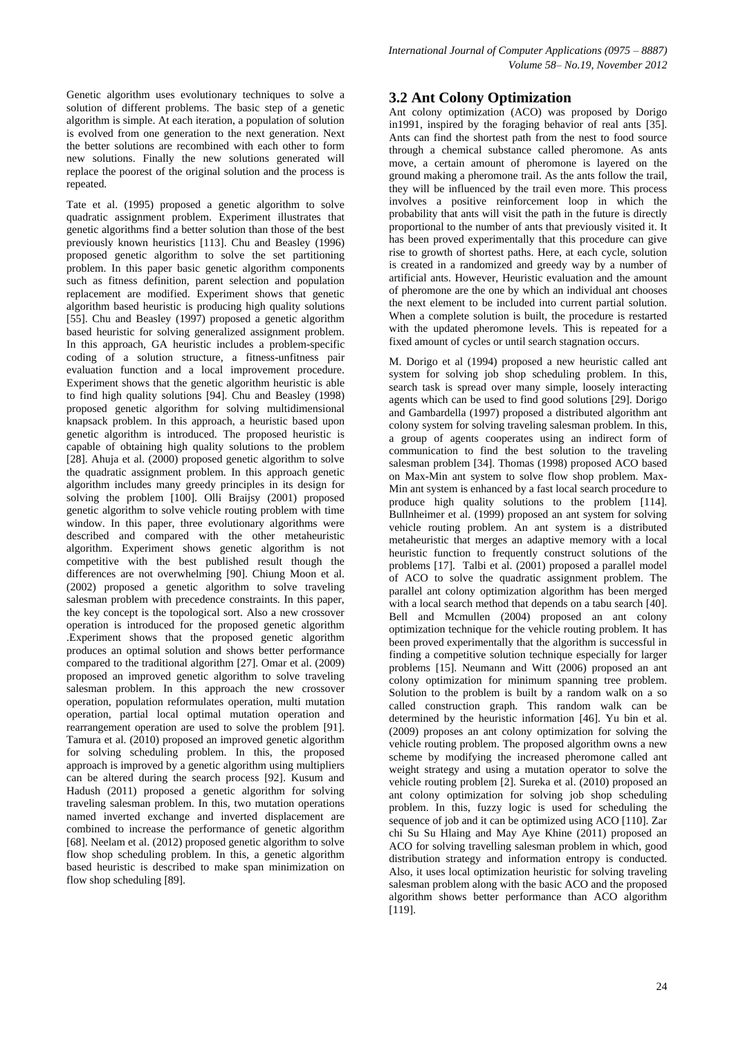Genetic algorithm uses evolutionary techniques to solve a solution of different problems. The basic step of a genetic algorithm is simple. At each iteration, a population of solution is evolved from one generation to the next generation. Next the better solutions are recombined with each other to form new solutions. Finally the new solutions generated will replace the poorest of the original solution and the process is repeated.

Tate et al. (1995) proposed a genetic algorithm to solve quadratic assignment problem. Experiment illustrates that genetic algorithms find a better solution than those of the best previously known heuristics [113]. Chu and Beasley (1996) proposed genetic algorithm to solve the set partitioning problem. In this paper basic genetic algorithm components such as fitness definition, parent selection and population replacement are modified. Experiment shows that genetic algorithm based heuristic is producing high quality solutions [55]. Chu and Beasley (1997) proposed a genetic algorithm based heuristic for solving generalized assignment problem. In this approach, GA heuristic includes a problem-specific coding of a solution structure, a fitness-unfitness pair evaluation function and a local improvement procedure. Experiment shows that the genetic algorithm heuristic is able to find high quality solutions [94]. Chu and Beasley (1998) proposed genetic algorithm for solving multidimensional knapsack problem. In this approach, a heuristic based upon genetic algorithm is introduced. The proposed heuristic is capable of obtaining high quality solutions to the problem [28]. Ahuja et al. (2000) proposed genetic algorithm to solve the quadratic assignment problem. In this approach genetic algorithm includes many greedy principles in its design for solving the problem [100]. Olli Braijsy (2001) proposed genetic algorithm to solve vehicle routing problem with time window. In this paper, three evolutionary algorithms were described and compared with the other metaheuristic algorithm. Experiment shows genetic algorithm is not competitive with the best published result though the differences are not overwhelming [90]. Chiung Moon et al. (2002) proposed a genetic algorithm to solve traveling salesman problem with precedence constraints. In this paper, the key concept is the topological sort. Also a new crossover operation is introduced for the proposed genetic algorithm .Experiment shows that the proposed genetic algorithm produces an optimal solution and shows better performance compared to the traditional algorithm [27]. Omar et al. (2009) proposed an improved genetic algorithm to solve traveling salesman problem. In this approach the new crossover operation, population reformulates operation, multi mutation operation, partial local optimal mutation operation and rearrangement operation are used to solve the problem [91]. Tamura et al. (2010) proposed an improved genetic algorithm for solving scheduling problem. In this, the proposed approach is improved by a genetic algorithm using multipliers can be altered during the search process [92]. Kusum and Hadush (2011) proposed a genetic algorithm for solving traveling salesman problem. In this, two mutation operations named inverted exchange and inverted displacement are combined to increase the performance of genetic algorithm [68]. Neelam et al. (2012) proposed genetic algorithm to solve flow shop scheduling problem. In this, a genetic algorithm based heuristic is described to make span minimization on flow shop scheduling [89].

#### **3.2 Ant Colony Optimization**

Ant colony optimization (ACO) was proposed by Dorigo in1991, inspired by the foraging behavior of real ants [35]. Ants can find the shortest path from the nest to food source through a chemical substance called pheromone. As ants move, a certain amount of pheromone is layered on the ground making a pheromone trail. As the ants follow the trail, they will be influenced by the trail even more. This process involves a positive reinforcement loop in which the probability that ants will visit the path in the future is directly proportional to the number of ants that previously visited it. It has been proved experimentally that this procedure can give rise to growth of shortest paths. Here, at each cycle, solution is created in a randomized and greedy way by a number of artificial ants. However, Heuristic evaluation and the amount of pheromone are the one by which an individual ant chooses the next element to be included into current partial solution. When a complete solution is built, the procedure is restarted with the updated pheromone levels. This is repeated for a fixed amount of cycles or until search stagnation occurs.

M. Dorigo et al (1994) proposed a new heuristic called ant system for solving job shop scheduling problem. In this, search task is spread over many simple, loosely interacting agents which can be used to find good solutions [29]. Dorigo and Gambardella (1997) proposed a distributed algorithm ant colony system for solving traveling salesman problem. In this, a group of agents cooperates using an indirect form of communication to find the best solution to the traveling salesman problem [34]. Thomas (1998) proposed ACO based on Max-Min ant system to solve flow shop problem. Max-Min ant system is enhanced by a fast local search procedure to produce high quality solutions to the problem [114]. Bullnheimer et al. (1999) proposed an ant system for solving vehicle routing problem. An ant system is a distributed metaheuristic that merges an adaptive memory with a local heuristic function to frequently construct solutions of the problems [17]. Talbi et al. (2001) proposed a parallel model of ACO to solve the quadratic assignment problem. The parallel ant colony optimization algorithm has been merged with a local search method that depends on a tabu search [40]. Bell and Mcmullen (2004) proposed an ant colony optimization technique for the vehicle routing problem. It has been proved experimentally that the algorithm is successful in finding a competitive solution technique especially for larger problems [15]. Neumann and Witt (2006) proposed an ant colony optimization for minimum spanning tree problem. Solution to the problem is built by a random walk on a so called construction graph. This random walk can be determined by the heuristic information [46]. Yu bin et al. (2009) proposes an ant colony optimization for solving the vehicle routing problem. The proposed algorithm owns a new scheme by modifying the increased pheromone called ant weight strategy and using a mutation operator to solve the vehicle routing problem [2]. Sureka et al. (2010) proposed an ant colony optimization for solving job shop scheduling problem. In this, fuzzy logic is used for scheduling the sequence of job and it can be optimized using ACO [110]. Zar chi Su Su Hlaing and May Aye Khine (2011) proposed an ACO for solving travelling salesman problem in which, good distribution strategy and information entropy is conducted. Also, it uses local optimization heuristic for solving traveling salesman problem along with the basic ACO and the proposed algorithm shows better performance than ACO algorithm [119].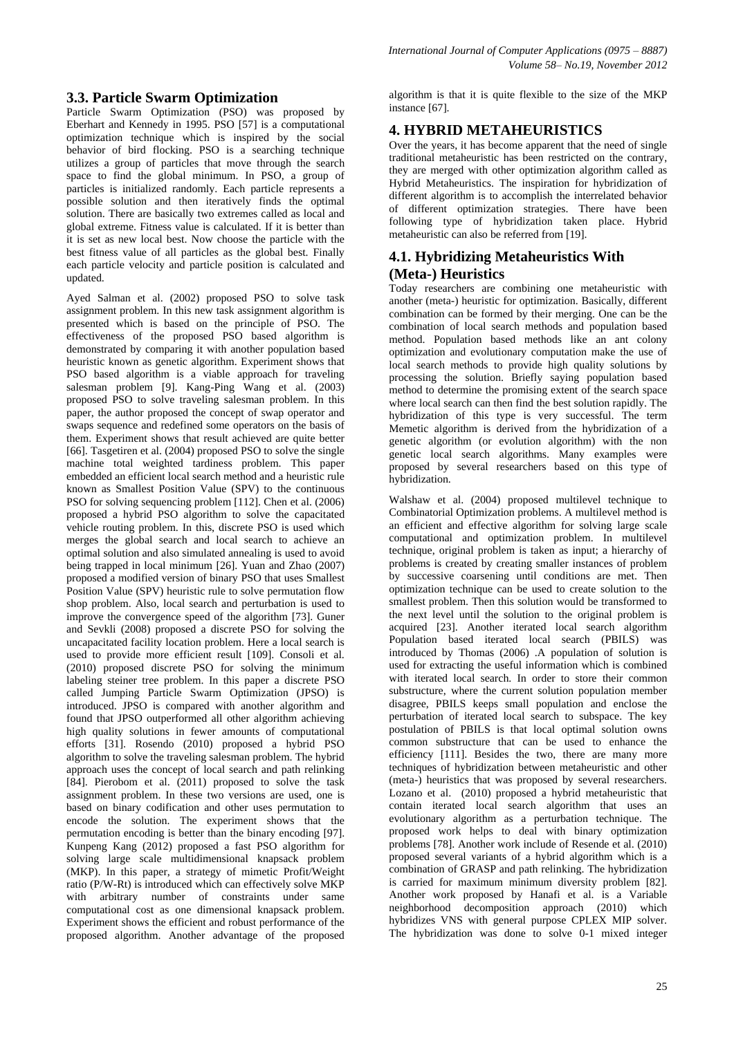## **3.3. Particle Swarm Optimization**

Particle Swarm Optimization (PSO) was proposed by Eberhart and Kennedy in 1995. PSO [57] is a computational optimization technique which is inspired by the social behavior of bird flocking. PSO is a searching technique utilizes a group of particles that move through the search space to find the global minimum. In PSO, a group of particles is initialized randomly. Each particle represents a possible solution and then iteratively finds the optimal solution. There are basically two extremes called as local and global extreme. Fitness value is calculated. If it is better than it is set as new local best. Now choose the particle with the best fitness value of all particles as the global best. Finally each particle velocity and particle position is calculated and updated.

Ayed Salman et al. (2002) proposed PSO to solve task assignment problem. In this new task assignment algorithm is presented which is based on the principle of PSO. The effectiveness of the proposed PSO based algorithm is demonstrated by comparing it with another population based heuristic known as genetic algorithm. Experiment shows that PSO based algorithm is a viable approach for traveling salesman problem [9]. Kang-Ping Wang et al. (2003) proposed PSO to solve traveling salesman problem. In this paper, the author proposed the concept of swap operator and swaps sequence and redefined some operators on the basis of them. Experiment shows that result achieved are quite better [66]. Tasgetiren et al. (2004) proposed PSO to solve the single machine total weighted tardiness problem. This paper embedded an efficient local search method and a heuristic rule known as Smallest Position Value (SPV) to the continuous PSO for solving sequencing problem [112]. Chen et al. (2006) proposed a hybrid PSO algorithm to solve the capacitated vehicle routing problem. In this, discrete PSO is used which merges the global search and local search to achieve an optimal solution and also simulated annealing is used to avoid being trapped in local minimum [26]. Yuan and Zhao (2007) proposed a modified version of binary PSO that uses Smallest Position Value (SPV) heuristic rule to solve permutation flow shop problem. Also, local search and perturbation is used to improve the convergence speed of the algorithm [73]. Guner and Sevkli (2008) proposed a discrete PSO for solving the uncapacitated facility location problem. Here a local search is used to provide more efficient result [109]. Consoli et al. (2010) proposed discrete PSO for solving the minimum labeling steiner tree problem. In this paper a discrete PSO called Jumping Particle Swarm Optimization (JPSO) is introduced. JPSO is compared with another algorithm and found that JPSO outperformed all other algorithm achieving high quality solutions in fewer amounts of computational efforts [31]. Rosendo (2010) proposed a hybrid PSO algorithm to solve the traveling salesman problem. The hybrid approach uses the concept of local search and path relinking [84]. Pierobom et al. (2011) proposed to solve the task assignment problem. In these two versions are used, one is based on binary codification and other uses permutation to encode the solution. The experiment shows that the permutation encoding is better than the binary encoding [97]. Kunpeng Kang (2012) proposed a fast PSO algorithm for solving large scale multidimensional knapsack problem (MKP). In this paper, a strategy of mimetic Profit/Weight ratio (P/W-Rt) is introduced which can effectively solve MKP with arbitrary number of constraints under same computational cost as one dimensional knapsack problem. Experiment shows the efficient and robust performance of the proposed algorithm. Another advantage of the proposed

algorithm is that it is quite flexible to the size of the MKP instance [67].

### **4. HYBRID METAHEURISTICS**

Over the years, it has become apparent that the need of single traditional metaheuristic has been restricted on the contrary, they are merged with other optimization algorithm called as Hybrid Metaheuristics. The inspiration for hybridization of different algorithm is to accomplish the interrelated behavior of different optimization strategies. There have been following type of hybridization taken place. Hybrid metaheuristic can also be referred from [19].

# **4.1. Hybridizing Metaheuristics With (Meta-) Heuristics**

Today researchers are combining one metaheuristic with another (meta-) heuristic for optimization. Basically, different combination can be formed by their merging. One can be the combination of local search methods and population based method. Population based methods like an ant colony optimization and evolutionary computation make the use of local search methods to provide high quality solutions by processing the solution. Briefly saying population based method to determine the promising extent of the search space where local search can then find the best solution rapidly. The hybridization of this type is very successful. The term Memetic algorithm is derived from the hybridization of a genetic algorithm (or evolution algorithm) with the non genetic local search algorithms. Many examples were proposed by several researchers based on this type of hybridization.

Walshaw et al. (2004) proposed multilevel technique to Combinatorial Optimization problems. A multilevel method is an efficient and effective algorithm for solving large scale computational and optimization problem. In multilevel technique, original problem is taken as input; a hierarchy of problems is created by creating smaller instances of problem by successive coarsening until conditions are met. Then optimization technique can be used to create solution to the smallest problem. Then this solution would be transformed to the next level until the solution to the original problem is acquired [23]. Another iterated local search algorithm Population based iterated local search (PBILS) was introduced by Thomas (2006) .A population of solution is used for extracting the useful information which is combined with iterated local search. In order to store their common substructure, where the current solution population member disagree, PBILS keeps small population and enclose the perturbation of iterated local search to subspace. The key postulation of PBILS is that local optimal solution owns common substructure that can be used to enhance the efficiency [111]. Besides the two, there are many more techniques of hybridization between metaheuristic and other (meta-) heuristics that was proposed by several researchers. Lozano et al. (2010) proposed a hybrid metaheuristic that contain iterated local search algorithm that uses an evolutionary algorithm as a perturbation technique. The proposed work helps to deal with binary optimization problems [78]. Another work include of Resende et al. (2010) proposed several variants of a hybrid algorithm which is a combination of GRASP and path relinking. The hybridization is carried for maximum minimum diversity problem [82]. Another work proposed by Hanafi et al. is a Variable neighborhood decomposition approach (2010) which hybridizes VNS with general purpose CPLEX MIP solver. The hybridization was done to solve 0-1 mixed integer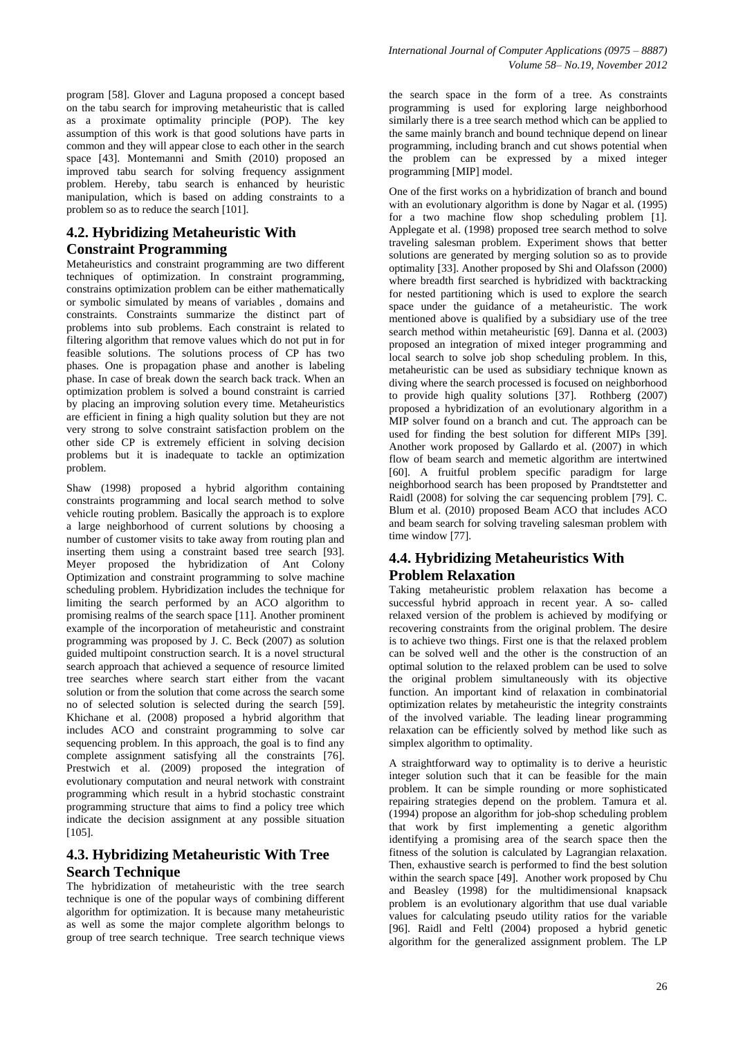program [58]. Glover and Laguna proposed a concept based on the tabu search for improving metaheuristic that is called as a proximate optimality principle (POP). The key assumption of this work is that good solutions have parts in common and they will appear close to each other in the search space [43]. Montemanni and Smith (2010) proposed an improved tabu search for solving frequency assignment problem. Hereby, tabu search is enhanced by heuristic manipulation, which is based on adding constraints to a problem so as to reduce the search [101].

# **4.2. Hybridizing Metaheuristic With Constraint Programming**

Metaheuristics and constraint programming are two different techniques of optimization. In constraint programming, constrains optimization problem can be either mathematically or symbolic simulated by means of variables , domains and constraints. Constraints summarize the distinct part of problems into sub problems. Each constraint is related to filtering algorithm that remove values which do not put in for feasible solutions. The solutions process of CP has two phases. One is propagation phase and another is labeling phase. In case of break down the search back track. When an optimization problem is solved a bound constraint is carried by placing an improving solution every time. Metaheuristics are efficient in fining a high quality solution but they are not very strong to solve constraint satisfaction problem on the other side CP is extremely efficient in solving decision problems but it is inadequate to tackle an optimization problem.

Shaw (1998) proposed a hybrid algorithm containing constraints programming and local search method to solve vehicle routing problem. Basically the approach is to explore a large neighborhood of current solutions by choosing a number of customer visits to take away from routing plan and inserting them using a constraint based tree search [93]. Meyer proposed the hybridization of Ant Colony Optimization and constraint programming to solve machine scheduling problem. Hybridization includes the technique for limiting the search performed by an ACO algorithm to promising realms of the search space [11]. Another prominent example of the incorporation of metaheuristic and constraint programming was proposed by J. C. Beck (2007) as solution guided multipoint construction search. It is a novel structural search approach that achieved a sequence of resource limited tree searches where search start either from the vacant solution or from the solution that come across the search some no of selected solution is selected during the search [59]. Khichane et al. (2008) proposed a hybrid algorithm that includes ACO and constraint programming to solve car sequencing problem. In this approach, the goal is to find any complete assignment satisfying all the constraints [76]. Prestwich et al. (2009) proposed the integration of evolutionary computation and neural network with constraint programming which result in a hybrid stochastic constraint programming structure that aims to find a policy tree which indicate the decision assignment at any possible situation [105].

# **4.3. Hybridizing Metaheuristic With Tree Search Technique**

The hybridization of metaheuristic with the tree search technique is one of the popular ways of combining different algorithm for optimization. It is because many metaheuristic as well as some the major complete algorithm belongs to group of tree search technique. Tree search technique views

the search space in the form of a tree. As constraints programming is used for exploring large neighborhood similarly there is a tree search method which can be applied to the same mainly branch and bound technique depend on linear programming, including branch and cut shows potential when the problem can be expressed by a mixed integer programming [MIP] model.

One of the first works on a hybridization of branch and bound with an evolutionary algorithm is done by Nagar et al. (1995) for a two machine flow shop scheduling problem [1]. Applegate et al. (1998) proposed tree search method to solve traveling salesman problem. Experiment shows that better solutions are generated by merging solution so as to provide optimality [33]. Another proposed by Shi and Olafsson (2000) where breadth first searched is hybridized with backtracking for nested partitioning which is used to explore the search space under the guidance of a metaheuristic. The work mentioned above is qualified by a subsidiary use of the tree search method within metaheuristic [69]. Danna et al. (2003) proposed an integration of mixed integer programming and local search to solve job shop scheduling problem. In this, metaheuristic can be used as subsidiary technique known as diving where the search processed is focused on neighborhood to provide high quality solutions [37]. Rothberg (2007) proposed a hybridization of an evolutionary algorithm in a MIP solver found on a branch and cut. The approach can be used for finding the best solution for different MIPs [39]. Another work proposed by Gallardo et al. (2007) in which flow of beam search and memetic algorithm are intertwined [60]. A fruitful problem specific paradigm for large neighborhood search has been proposed by Prandtstetter and Raidl (2008) for solving the car sequencing problem [79]. C. Blum et al. (2010) proposed Beam ACO that includes ACO and beam search for solving traveling salesman problem with time window [77].

# **4.4. Hybridizing Metaheuristics With Problem Relaxation**

Taking metaheuristic problem relaxation has become a successful hybrid approach in recent year. A so- called relaxed version of the problem is achieved by modifying or recovering constraints from the original problem. The desire is to achieve two things. First one is that the relaxed problem can be solved well and the other is the construction of an optimal solution to the relaxed problem can be used to solve the original problem simultaneously with its objective function. An important kind of relaxation in combinatorial optimization relates by metaheuristic the integrity constraints of the involved variable. The leading linear programming relaxation can be efficiently solved by method like such as simplex algorithm to optimality.

A straightforward way to optimality is to derive a heuristic integer solution such that it can be feasible for the main problem. It can be simple rounding or more sophisticated repairing strategies depend on the problem. Tamura et al. (1994) propose an algorithm for job-shop scheduling problem that work by first implementing a genetic algorithm identifying a promising area of the search space then the fitness of the solution is calculated by Lagrangian relaxation. Then, exhaustive search is performed to find the best solution within the search space [49]. Another work proposed by Chu and Beasley (1998) for the multidimensional knapsack problem is an evolutionary algorithm that use dual variable values for calculating pseudo utility ratios for the variable [96]. Raidl and Feltl (2004) proposed a hybrid genetic algorithm for the generalized assignment problem. The LP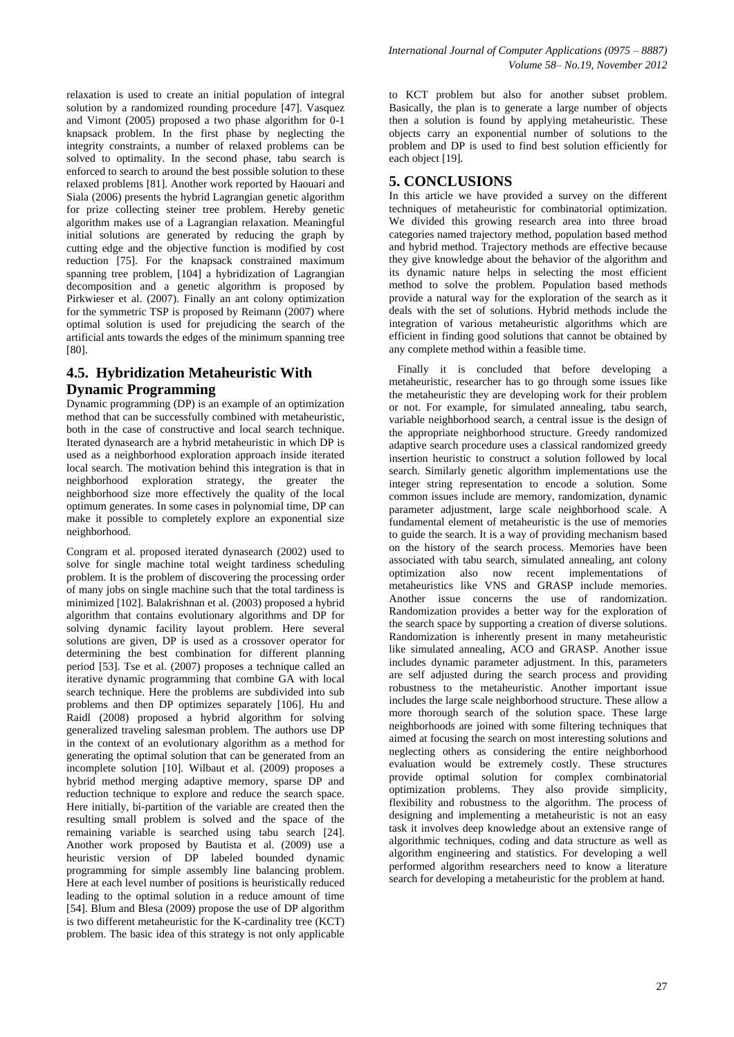relaxation is used to create an initial population of integral solution by a randomized rounding procedure [47]. Vasquez and Vimont (2005) proposed a two phase algorithm for 0-1 knapsack problem. In the first phase by neglecting the integrity constraints, a number of relaxed problems can be solved to optimality. In the second phase, tabu search is enforced to search to around the best possible solution to these relaxed problems [81]. Another work reported by Haouari and Siala (2006) presents the hybrid Lagrangian genetic algorithm for prize collecting steiner tree problem. Hereby genetic algorithm makes use of a Lagrangian relaxation. Meaningful initial solutions are generated by reducing the graph by cutting edge and the objective function is modified by cost reduction [75]. For the knapsack constrained maximum spanning tree problem, [104] a hybridization of Lagrangian decomposition and a genetic algorithm is proposed by Pirkwieser et al. (2007). Finally an ant colony optimization for the symmetric TSP is proposed by Reimann (2007) where optimal solution is used for prejudicing the search of the artificial ants towards the edges of the minimum spanning tree [80].

# **4.5. Hybridization Metaheuristic With Dynamic Programming**

Dynamic programming (DP) is an example of an optimization method that can be successfully combined with metaheuristic, both in the case of constructive and local search technique. Iterated dynasearch are a hybrid metaheuristic in which DP is used as a neighborhood exploration approach inside iterated local search. The motivation behind this integration is that in neighborhood exploration strategy, the greater the neighborhood size more effectively the quality of the local optimum generates. In some cases in polynomial time, DP can make it possible to completely explore an exponential size neighborhood.

Congram et al. proposed iterated dynasearch (2002) used to solve for single machine total weight tardiness scheduling problem. It is the problem of discovering the processing order of many jobs on single machine such that the total tardiness is minimized [102]. Balakrishnan et al. (2003) proposed a hybrid algorithm that contains evolutionary algorithms and DP for solving dynamic facility layout problem. Here several solutions are given, DP is used as a crossover operator for determining the best combination for different planning period [53]. Tse et al. (2007) proposes a technique called an iterative dynamic programming that combine GA with local search technique. Here the problems are subdivided into sub problems and then DP optimizes separately [106]. Hu and Raidl (2008) proposed a hybrid algorithm for solving generalized traveling salesman problem. The authors use DP in the context of an evolutionary algorithm as a method for generating the optimal solution that can be generated from an incomplete solution [10]. Wilbaut et al. (2009) proposes a hybrid method merging adaptive memory, sparse DP and reduction technique to explore and reduce the search space. Here initially, bi-partition of the variable are created then the resulting small problem is solved and the space of the remaining variable is searched using tabu search [24]. Another work proposed by Bautista et al. (2009) use a heuristic version of DP labeled bounded dynamic programming for simple assembly line balancing problem. Here at each level number of positions is heuristically reduced leading to the optimal solution in a reduce amount of time [54]. Blum and Blesa (2009) propose the use of DP algorithm is two different metaheuristic for the K-cardinality tree (KCT) problem. The basic idea of this strategy is not only applicable

to KCT problem but also for another subset problem. Basically, the plan is to generate a large number of objects then a solution is found by applying metaheuristic. These objects carry an exponential number of solutions to the problem and DP is used to find best solution efficiently for each object [19].

# **5. CONCLUSIONS**

In this article we have provided a survey on the different techniques of metaheuristic for combinatorial optimization. We divided this growing research area into three broad categories named trajectory method, population based method and hybrid method. Trajectory methods are effective because they give knowledge about the behavior of the algorithm and its dynamic nature helps in selecting the most efficient method to solve the problem. Population based methods provide a natural way for the exploration of the search as it deals with the set of solutions. Hybrid methods include the integration of various metaheuristic algorithms which are efficient in finding good solutions that cannot be obtained by any complete method within a feasible time.

 Finally it is concluded that before developing a metaheuristic, researcher has to go through some issues like the metaheuristic they are developing work for their problem or not. For example, for simulated annealing, tabu search, variable neighborhood search, a central issue is the design of the appropriate neighborhood structure. Greedy randomized adaptive search procedure uses a classical randomized greedy insertion heuristic to construct a solution followed by local search. Similarly genetic algorithm implementations use the integer string representation to encode a solution. Some common issues include are memory, randomization, dynamic parameter adjustment, large scale neighborhood scale. A fundamental element of metaheuristic is the use of memories to guide the search. It is a way of providing mechanism based on the history of the search process. Memories have been associated with tabu search, simulated annealing, ant colony optimization also now recent implementations of metaheuristics like VNS and GRASP include memories. Another issue concerns the use of randomization. Randomization provides a better way for the exploration of the search space by supporting a creation of diverse solutions. Randomization is inherently present in many metaheuristic like simulated annealing, ACO and GRASP. Another issue includes dynamic parameter adjustment. In this, parameters are self adjusted during the search process and providing robustness to the metaheuristic. Another important issue includes the large scale neighborhood structure. These allow a more thorough search of the solution space. These large neighborhoods are joined with some filtering techniques that aimed at focusing the search on most interesting solutions and neglecting others as considering the entire neighborhood evaluation would be extremely costly. These structures provide optimal solution for complex combinatorial optimization problems. They also provide simplicity, flexibility and robustness to the algorithm. The process of designing and implementing a metaheuristic is not an easy task it involves deep knowledge about an extensive range of algorithmic techniques, coding and data structure as well as algorithm engineering and statistics. For developing a well performed algorithm researchers need to know a literature search for developing a metaheuristic for the problem at hand.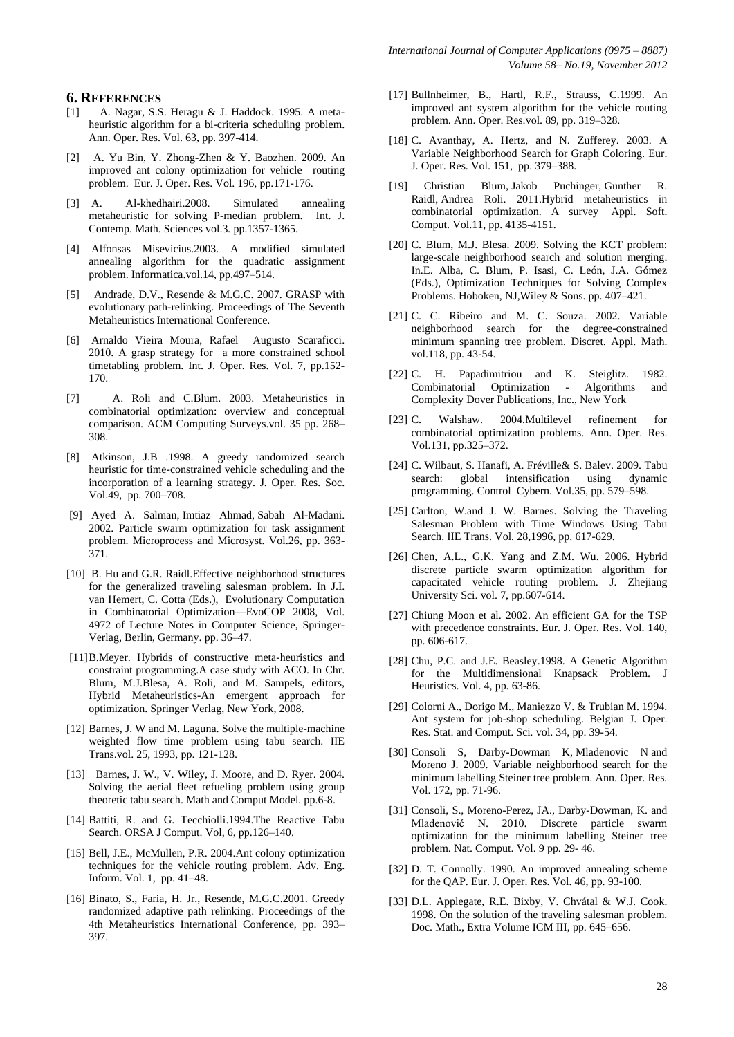#### **6. REFERENCES**

- [1] A. Nagar, S.S. Heragu & J. Haddock. 1995. A metaheuristic algorithm for a bi-criteria scheduling problem. Ann. Oper. Res. Vol. 63, pp. 397-414.
- [2] A. Yu Bin, Y. Zhong-Zhen & Y. Baozhen. 2009. An improved ant colony optimization for vehicle routing problem. Eur. J. Oper. Res. Vol. 196, pp.171-176.
- [3] A. Al-khedhairi.2008. Simulated annealing metaheuristic for solving P-median problem. Int. J. Contemp. Math. Sciences vol.3*.* pp.1357-1365.
- [4] Alfonsas Misevicius.2003. A modified simulated annealing algorithm for the quadratic assignment problem. Informatica.vol.14, pp.497–514.
- [5] Andrade, D.V., Resende & M.G.C. 2007. GRASP with evolutionary path-relinking. Proceedings of The Seventh Metaheuristics International Conference.
- [6] Arnaldo Vieira Moura, Rafael Augusto Scaraficci. 2010. A grasp strategy for a more constrained school timetabling problem. Int. J. Oper. Res. Vol. 7, pp.152- 170.
- [7] A. Roli and C.Blum. 2003. Metaheuristics in combinatorial optimization: overview and conceptual comparison. ACM Computing Surveys.vol. 35 pp. 268– 308.
- [8] Atkinson, J.B .1998. A greedy randomized search heuristic for time-constrained vehicle scheduling and the incorporation of a learning strategy. J. Oper. Res. Soc. Vol.49, pp. 700–708.
- [9] Ayed A. Salman, Imtiaz Ahmad, Sabah Al-Madani. 2002. Particle swarm optimization for task assignment problem. Microprocess and Microsyst. Vol.26, pp. 363- 371.
- [10] B. Hu and G.R. Raidl.Effective neighborhood structures for the generalized traveling salesman problem. In J.I. van Hemert, C. Cotta (Eds.), Evolutionary Computation in Combinatorial Optimization—EvoCOP 2008, Vol. 4972 of Lecture Notes in Computer Science, Springer-Verlag, Berlin, Germany. pp. 36–47.
- [11]B.Meyer. Hybrids of constructive meta-heuristics and constraint programming.A case study with ACO. In Chr. Blum, M.J.Blesa, A. Roli, and M. Sampels, editors, Hybrid Metaheuristics-An emergent approach for optimization. Springer Verlag, New York, 2008.
- [12] Barnes, J. W and M. Laguna. Solve the multiple-machine weighted flow time problem using tabu search. IIE Trans.vol. 25, 1993, pp. 121-128.
- [13] Barnes, J. W., V. Wiley, J. Moore, and D. Ryer. 2004. Solving the aerial fleet refueling problem using group theoretic tabu search. Math and Comput Model*.* pp.6-8.
- [14] Battiti, R. and G. Tecchiolli.1994.The Reactive Tabu Search. ORSA J Comput. Vol, 6, pp.126–140.
- [15] Bell, J.E., McMullen, P.R. 2004.Ant colony optimization techniques for the vehicle routing problem. Adv. Eng. Inform. Vol. 1, pp. 41–48.
- [16] Binato, S., Faria, H. Jr., Resende, M.G.C.2001. Greedy randomized adaptive path relinking. Proceedings of the 4th Metaheuristics International Conference, pp. 393– 397.
- [17] Bullnheimer, B., Hartl, R.F., Strauss, C.1999. An improved ant system algorithm for the vehicle routing problem. Ann. Oper. Res.vol. 89, pp. 319–328.
- [18] C. Avanthay, A. Hertz, and N. Zufferey. 2003. A Variable Neighborhood Search for Graph Coloring. Eur. J. Oper. Res. Vol. 151, pp. 379–388.
- [19] Christian Blum, [Jakob Puchinger,](http://www.informatik.uni-trier.de/~ley/db/indices/a-tree/p/Puchinger:Jakob.html) [Günther R.](http://www.informatik.uni-trier.de/~ley/db/indices/a-tree/r/Raidl:G=uuml=nther_R=.html)  [Raidl,](http://www.informatik.uni-trier.de/~ley/db/indices/a-tree/r/Raidl:G=uuml=nther_R=.html) [Andrea Roli.](http://www.informatik.uni-trier.de/~ley/db/indices/a-tree/r/Roli:Andrea.html) 2011.Hybrid metaheuristics in combinatorial optimization. A survey [Appl. Soft.](http://www.informatik.uni-trier.de/~ley/db/journals/asc/asc11.html#BlumPRR11) [Comput.](http://www.informatik.uni-trier.de/~ley/db/journals/asc/asc11.html#BlumPRR11) Vol.11, pp. 4135-4151.
- [20] C. Blum, M.J. Blesa. 2009. Solving the KCT problem: large-scale neighborhood search and solution merging. In.E. Alba, C. Blum, P. Isasi, C. León, J.A. Gómez (Eds.), Optimization Techniques for Solving Complex Problems. Hoboken, NJ,Wiley & Sons. pp. 407–421.
- [21] C. C. Ribeiro and M. C. Souza. 2002. Variable neighborhood search for the degree-constrained minimum spanning tree problem. Discret. Appl. Math. vol.118, pp. 43-54.
- [22] C. H. Papadimitriou and K. Steiglitz. 1982. Combinatorial Optimization - Algorithms and Complexity Dover Publications, Inc., New York
- [23] C. Walshaw. 2004.Multilevel refinement for combinatorial optimization problems. Ann. Oper. Res. Vol.131, pp.325–372.
- [24] C. Wilbaut, S. Hanafi, A. Fréville& S. Balev. 2009. Tabu search: global intensification using dynamic programming. Control Cybern. Vol.35, pp. 579–598.
- [25] Carlton, W.and J. W. Barnes. Solving the Traveling Salesman Problem with Time Windows Using Tabu Search. IIE Trans. Vol. 28,1996, pp. 617-629.
- [26] Chen, A.L., G.K. Yang and Z.M. Wu. 2006. Hybrid discrete particle swarm optimization algorithm for capacitated vehicle routing problem. J. Zhejiang University Sci. vol. 7, pp.607-614.
- [27] Chiung Moon et al. 2002. An efficient GA for the TSP with precedence constraints. Eur. J. Oper. Res. Vol. 140, pp. 606-617.
- [28] Chu, P.C. and J.E. Beasley.1998. A Genetic Algorithm for the Multidimensional Knapsack Problem. J Heuristics. Vol. 4, pp. 63-86.
- [29] Colorni A., Dorigo M., Maniezzo V. & Trubian M. 1994. Ant system for job-shop scheduling. Belgian J. Oper. Res. Stat. and Comput. Sci*.* vol. 34, pp. 39-54.
- [30] Consoli S, Darby-Dowman K, Mladenovic N and Moreno J. 2009. Variable neighborhood search for the minimum labelling Steiner tree problem. Ann. Oper. Res*.* Vol. 172, pp. 71-96.
- [31] Consoli, S., Moreno-Perez, JA., Darby-Dowman, K. and Mladenović N. 2010. Discrete particle swarm optimization for the minimum labelling Steiner tree problem. Nat. Comput. Vol. 9 pp. 29- 46.
- [32] D. T. Connolly. 1990. An improved annealing scheme for the QAP. Eur. J. Oper. Res. Vol. 46, pp. 93-100.
- [33] D.L. Applegate, R.E. Bixby, V. Chvátal & W.J. Cook. 1998. On the solution of the traveling salesman problem. Doc. Math., Extra Volume ICM III, pp. 645–656.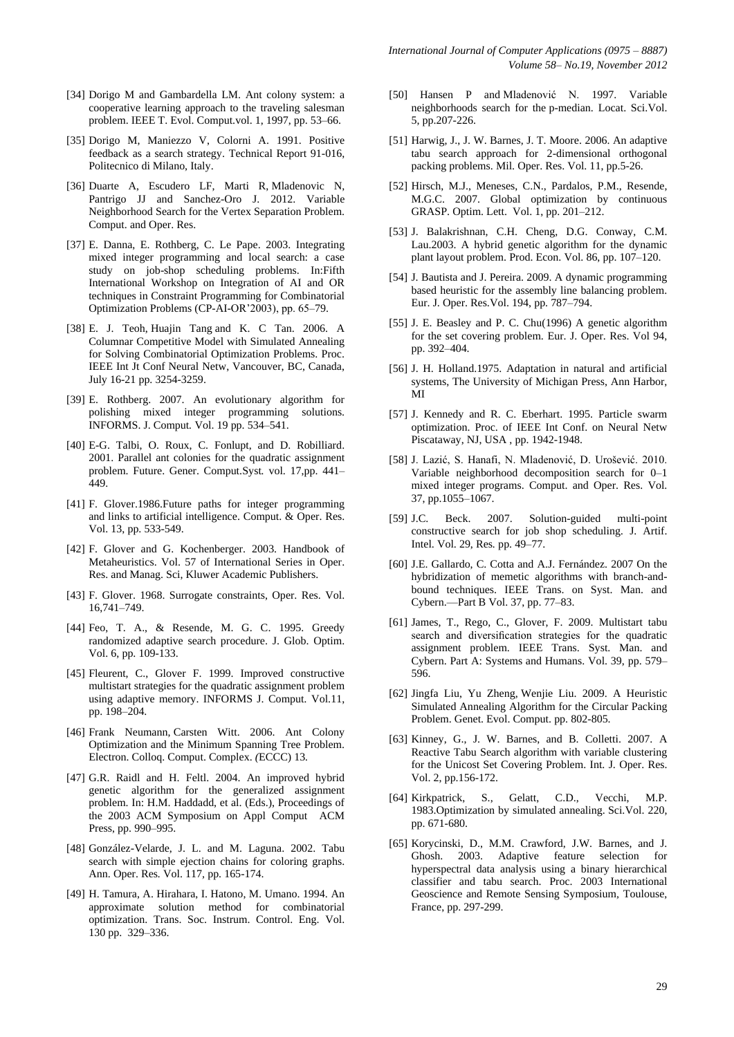- [34] Dorigo M and Gambardella LM. Ant colony system: a cooperative learning approach to the traveling salesman problem. IEEE T. Evol. Comput.vol. 1, 1997, pp. 53–66.
- [35] Dorigo M, Maniezzo V, Colorni A. 1991. Positive feedback as a search strategy. Technical Report 91-016, Politecnico di Milano, Italy.
- [36] Duarte A, Escudero LF, Marti R, Mladenovic N, Pantrigo JJ and Sanchez-Oro J. 2012. Variable Neighborhood Search for the Vertex Separation Problem. Comput. and Oper. Res.
- [37] E. Danna, E. Rothberg, C. Le Pape. 2003. Integrating mixed integer programming and local search: a case study on job-shop scheduling problems. In:Fifth International Workshop on Integration of AI and OR techniques in Constraint Programming for Combinatorial Optimization Problems (CP-AI-OR'2003), pp. 65–79.
- [38] E. J. Teoh, Huajin Tang and K. C Tan. 2006. A Columnar Competitive Model with Simulated Annealing for Solving Combinatorial Optimization Problems. Proc. IEEE Int Jt Conf Neural Netw, Vancouver, BC, Canada, July 16-21 pp. 3254-3259.
- [39] E. Rothberg. 2007. An evolutionary algorithm for polishing mixed integer programming solutions. INFORMS. J. Comput*.* Vol. 19 pp. 534–541.
- [40] E-G. Talbi, O. Roux, C. Fonlupt, and D. Robilliard. 2001. Parallel ant colonies for the quadratic assignment problem. Future. Gener. Comput.Syst*.* vol. 17,pp. 441– 449.
- [41] F. Glover.1986.Future paths for integer programming and links to artificial intelligence. Comput. & Oper. Res. Vol. 13, pp. 533-549.
- [42] F. Glover and G. Kochenberger. 2003. Handbook of Metaheuristics. Vol. 57 of International Series in Oper. Res. and Manag. Sci, Kluwer Academic Publishers.
- [43] F. Glover. 1968. Surrogate constraints, Oper. Res. Vol. 16,741–749.
- [44] Feo, T. A., & Resende, M. G. C. 1995. Greedy randomized adaptive search procedure. J. Glob. Optim. Vol. 6, pp. 109-133.
- [45] Fleurent, C., Glover F. 1999. Improved constructive multistart strategies for the quadratic assignment problem using adaptive memory. INFORMS J. Comput*.* Vol.11, pp. 198–204.
- [46] Frank Neumann, Carsten Witt. 2006. Ant Colony Optimization and the Minimum Spanning Tree Problem. Electron. Colloq. Comput. Complex. *(*ECCC) 13*.*
- [47] G.R. Raidl and H. Feltl. 2004. An improved hybrid genetic algorithm for the generalized assignment problem. In: H.M. Haddadd, et al. (Eds.), Proceedings of the 2003 ACM Symposium on Appl Comput ACM Press, pp. 990–995.
- [48] González-Velarde, J. L. and M. Laguna. 2002. Tabu search with simple ejection chains for coloring graphs. Ann. Oper. Res*.* Vol. 117*,* pp. 165-174.
- [49] H. Tamura, A. Hirahara, I. Hatono, M. Umano. 1994. An approximate solution method for combinatorial optimization. Trans. Soc. Instrum. Control. Eng. Vol. 130 pp. 329–336.
- [50] Hansen P and Mladenović N. 1997. Variable neighborhoods search for the p-median. Locat. Sci.Vol. 5, pp.207-226.
- [51] Harwig, J., J. W. Barnes, J. T. Moore. 2006. An adaptive tabu search approach for 2-dimensional orthogonal packing problems. Mil. Oper. Res. Vol. 11, pp.5-26.
- [52] Hirsch, M.J., Meneses, C.N., Pardalos, P.M., Resende, M.G.C. 2007. Global optimization by continuous GRASP. Optim. Lett. Vol. 1, pp. 201–212.
- [53] J. Balakrishnan, C.H. Cheng, D.G. Conway, C.M. Lau.2003. A hybrid genetic algorithm for the dynamic plant layout problem. Prod. Econ. Vol. 86, pp. 107–120.
- [54] J. Bautista and J. Pereira. 2009. A dynamic programming based heuristic for the assembly line balancing problem. Eur. J. Oper. Res.Vol. 194, pp. 787–794.
- [55] J. E. Beasley and P. C. Chu(1996) A genetic algorithm for the set covering problem. Eur. J. Oper. Res. Vol 94, pp. 392–404.
- [56] J. H. Holland.1975. Adaptation in natural and artificial systems, The University of Michigan Press, Ann Harbor, MI
- [57] J. Kennedy and R. C. Eberhart. 1995. Particle swarm optimization. Proc. of IEEE Int Conf. on Neural Netw Piscataway, NJ, USA , pp. 1942-1948.
- [58] J. Lazić, S. Hanafi, N. Mladenović, D. Urošević. 2010. Variable neighborhood decomposition search for 0–1 mixed integer programs. Comput. and Oper. Res. Vol. 37, pp.1055–1067.
- [59] J.C. Beck. 2007. Solution-guided multi-point constructive search for job shop scheduling*.* J. Artif. Intel. Vol. 29, Res*.* pp. 49–77.
- [60] J.E. Gallardo, C. Cotta and A.J. Fernández. 2007 On the hybridization of memetic algorithms with branch-andbound techniques. IEEE Trans. on Syst. Man. and Cybern.—Part B Vol. 37, pp. 77–83.
- [61] James, T., Rego, C., Glover, F. 2009. Multistart tabu search and diversification strategies for the quadratic assignment problem. IEEE Trans. Syst. Man. and Cybern. Part A: Systems and Humans. Vol. 39, pp. 579– 596.
- [62] Jingfa Liu, Yu Zheng, Wenjie Liu. 2009. A Heuristic Simulated Annealing Algorithm for the Circular Packing Problem. Genet. Evol. Comput. pp. 802-805.
- [63] Kinney, G., J. W. Barnes, and B. Colletti. 2007. A Reactive Tabu Search algorithm with variable clustering for the Unicost Set Covering Problem. Int. J. Oper. Res. Vol. 2, pp.156-172.
- [64] Kirkpatrick, S., Gelatt, C.D., Vecchi, M.P. 1983.Optimization by simulated annealing. Sci.Vol. 220, pp. 671-680.
- [65] Korycinski, D., M.M. Crawford, J.W. Barnes, and J. Ghosh. 2003. Adaptive feature selection for hyperspectral data analysis using a binary hierarchical classifier and tabu search. Proc. 2003 International Geoscience and Remote Sensing Symposium*,* Toulouse, France, pp. 297-299.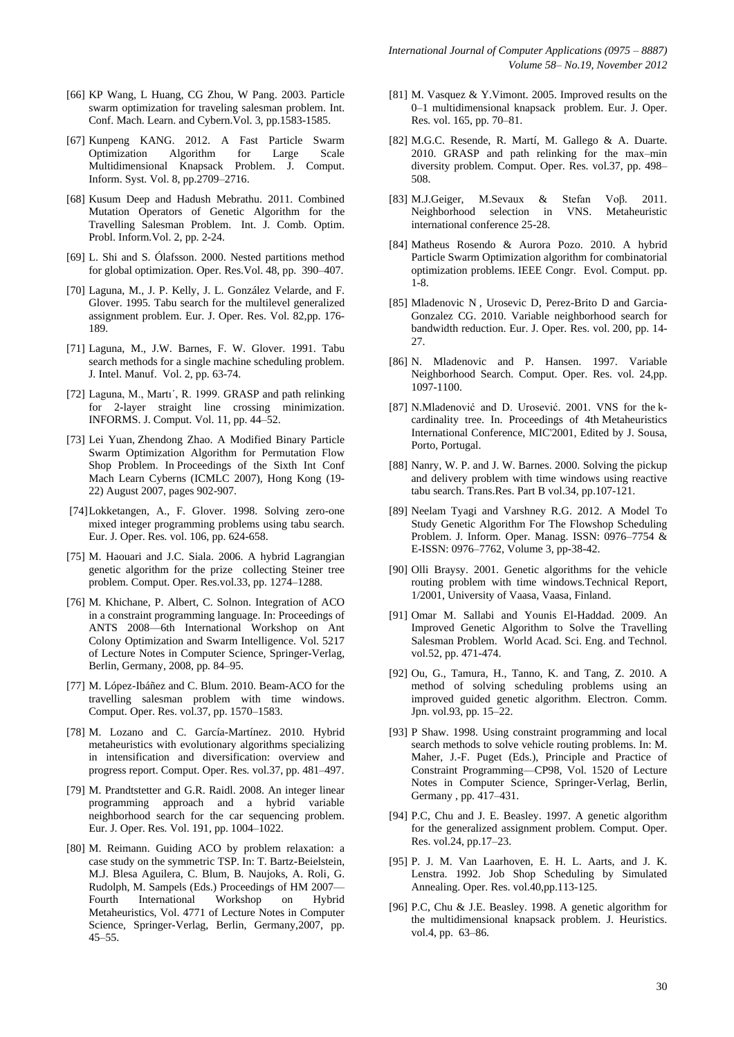- [66] KP Wang, L Huang, CG Zhou, W Pang. 2003. Particle swarm optimization for traveling salesman problem. Int. Conf. Mach. Learn. and Cybern.Vol. 3, pp.1583-1585.
- [67] Kunpeng KANG. 2012. A Fast Particle Swarm Optimization Algorithm for Large Scale Multidimensional Knapsack Problem. J. Comput. Inform. Syst. Vol. 8, pp.2709–2716.
- [68] Kusum Deep and Hadush Mebrathu. 2011. Combined Mutation Operators of Genetic Algorithm for the Travelling Salesman Problem. Int. J. Comb. Optim. Probl. Inform*.*Vol. 2, pp. 2-24.
- [69] L. Shi and S. Ólafsson. 2000. Nested partitions method for global optimization. Oper. Res.Vol. 48, pp. 390–407.
- [70] Laguna, M., J. P. Kelly, J. L. González Velarde, and F. Glover. 1995. Tabu search for the multilevel generalized assignment problem. Eur. J. Oper. Res. Vol. 82,pp. 176- 189.
- [71] Laguna, M., J.W. Barnes, F. W. Glover. 1991. Tabu search methods for a single machine scheduling problem. J. Intel. Manuf. Vol. 2, pp. 63-74.
- [72] Laguna, M., Martı´, R. 1999. GRASP and path relinking for 2-layer straight line crossing minimization. INFORMS. J. Comput. Vol. 11, pp. 44–52.
- [73] Lei Yuan, Zhendong Zhao. A Modified Binary Particle Swarm Optimization Algorithm for Permutation Flow Shop Problem. In Proceedings of the Sixth Int Conf Mach Learn Cyberns (ICMLC 2007), Hong Kong (19- 22) August 2007, pages 902-907.
- [74]Lokketangen, A., F. Glover. 1998. Solving zero-one mixed integer programming problems using tabu search. Eur. J. Oper. Res*.* vol. 106, pp. 624-658.
- [75] M. Haouari and J.C. Siala. 2006. A hybrid Lagrangian genetic algorithm for the prize collecting Steiner tree problem. Comput. Oper. Res.vol.33, pp. 1274–1288.
- [76] M. Khichane, P. Albert, C. Solnon. Integration of ACO in a constraint programming language. In: Proceedings of ANTS 2008—6th International Workshop on Ant Colony Optimization and Swarm Intelligence. Vol. 5217 of Lecture Notes in Computer Science, Springer-Verlag, Berlin, Germany, 2008, pp. 84–95.
- [77] M. López-Ibáñez and C. Blum. 2010. Beam-ACO for the travelling salesman problem with time windows. Comput. Oper. Res. vol.37, pp. 1570–1583.
- [78] M. Lozano and C. García-Martínez. 2010. Hybrid metaheuristics with evolutionary algorithms specializing in intensification and diversification: overview and progress report. Comput. Oper. Res*.* vol.37, pp. 481–497.
- [79] M. Prandtstetter and G.R. Raidl. 2008. An integer linear programming approach and a hybrid variable neighborhood search for the car sequencing problem. Eur. J. Oper. Res*.* Vol. 191, pp. 1004–1022.
- [80] M. Reimann. Guiding ACO by problem relaxation: a case study on the symmetric TSP. In: T. Bartz-Beielstein, M.J. Blesa Aguilera, C. Blum, B. Naujoks, A. Roli, G. Rudolph, M. Sampels (Eds.) Proceedings of HM 2007— Fourth International Workshop on Hybrid Metaheuristics, Vol. 4771 of Lecture Notes in Computer Science, Springer-Verlag, Berlin, Germany,2007, pp. 45–55.
- [81] M. Vasquez & Y.Vimont. 2005. Improved results on the 0–1 multidimensional knapsack problem. Eur. J. Oper. Res*.* vol. 165, pp. 70–81.
- [82] M.G.C. Resende, R. Martí, M. Gallego & A. Duarte. 2010. GRASP and path relinking for the max–min diversity problem. Comput. Oper. Res. vol.37, pp. 498– 508.
- [83] M.J.Geiger, M.Sevaux & Stefan Voβ. 2011. Neighborhood selection in VNS. Metaheuristic international conference 25-28.
- [84] Matheus Rosendo & Aurora Pozo. 2010. A hybrid Particle Swarm Optimization algorithm for combinatorial optimization problems. IEEE Congr. Evol. Comput. pp. 1-8.
- [85] Mladenovic N , Urosevic D, Perez-Brito D and Garcia-Gonzalez CG. 2010. Variable neighborhood search for bandwidth reduction. Eur. J. Oper. Res. vol. 200, pp. 14- 27.
- [86] N. Mladenovic and P. Hansen. 1997. Variable Neighborhood Search. Comput. Oper. Res. vol. 24,pp. 1097-1100.
- [87] N.Mladenović and D. Urosević. 2001. VNS for the kcardinality tree. In. Proceedings of 4th Metaheuristics International Conference, MIC'2001, Edited by J. Sousa, Porto, Portugal.
- [88] Nanry, W. P. and J. W. Barnes. 2000. Solving the pickup and delivery problem with time windows using reactive tabu search. Trans.Res. Part B vol.34, pp.107-121.
- [89] Neelam Tyagi and Varshney R.G. 2012. A Model To Study Genetic Algorithm For The Flowshop Scheduling Problem. J. Inform. Oper. Manag. ISSN: 0976–7754 & E-ISSN: 0976–7762, Volume 3, pp-38-42.
- [90] Olli Braysy. 2001. Genetic algorithms for the vehicle routing problem with time windows.Technical Report, 1/2001, University of Vaasa, Vaasa, Finland.
- [91] Omar M. Sallabi and Younis El-Haddad. 2009. An Improved Genetic Algorithm to Solve the Travelling Salesman Problem. World Acad. Sci. Eng. and Technol. vol.52, pp. 471-474.
- [92] Ou, G., Tamura, H., Tanno, K. and Tang, Z. 2010. A method of solving scheduling problems using an improved guided genetic algorithm. Electron. Comm. Jpn. vol.93, pp. 15–22.
- [93] P Shaw. 1998. Using constraint programming and local search methods to solve vehicle routing problems. In: M. Maher, J.-F. Puget (Eds.), Principle and Practice of Constraint Programming—CP98, Vol. 1520 of Lecture Notes in Computer Science, Springer-Verlag, Berlin, Germany , pp. 417–431.
- [94] P.C, Chu and J. E. Beasley. 1997. A genetic algorithm for the generalized assignment problem. Comput. Oper. Res. vol.24, pp.17–23.
- [95] P. J. M. Van Laarhoven, E. H. L. Aarts, and J. K. Lenstra. 1992. Job Shop Scheduling by Simulated Annealing. Oper. Res. vol.40,pp.113-125.
- [96] P.C, Chu & J.E. Beasley. 1998. A genetic algorithm for the multidimensional knapsack problem. J. Heuristics. vol.4, pp. 63–86.